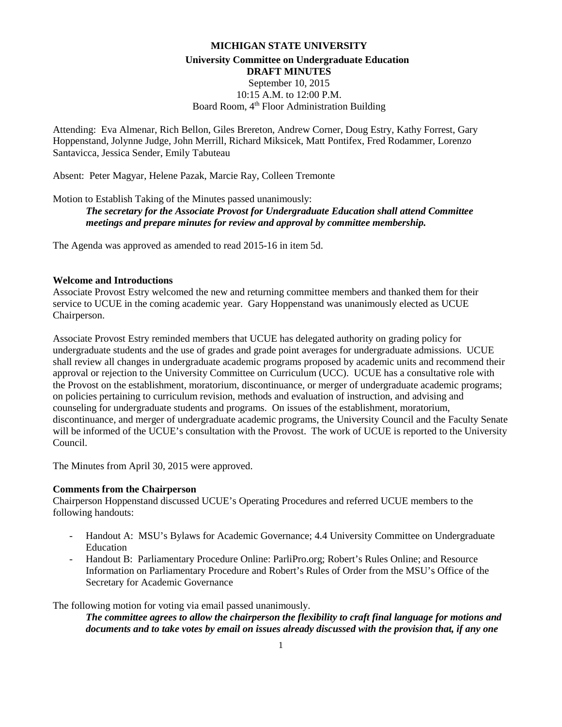# **MICHIGAN STATE UNIVERSITY University Committee on Undergraduate Education DRAFT MINUTES** September 10, 2015 10:15 A.M. to 12:00 P.M. Board Room, 4<sup>th</sup> Floor Administration Building

Attending: Eva Almenar, Rich Bellon, Giles Brereton, Andrew Corner, Doug Estry, Kathy Forrest, Gary Hoppenstand, Jolynne Judge, John Merrill, Richard Miksicek, Matt Pontifex, Fred Rodammer, Lorenzo Santavicca, Jessica Sender, Emily Tabuteau

Absent: Peter Magyar, Helene Pazak, Marcie Ray, Colleen Tremonte

Motion to Establish Taking of the Minutes passed unanimously: *The secretary for the Associate Provost for Undergraduate Education shall attend Committee meetings and prepare minutes for review and approval by committee membership.*

The Agenda was approved as amended to read 2015-16 in item 5d.

#### **Welcome and Introductions**

Associate Provost Estry welcomed the new and returning committee members and thanked them for their service to UCUE in the coming academic year. Gary Hoppenstand was unanimously elected as UCUE Chairperson.

Associate Provost Estry reminded members that UCUE has delegated authority on grading policy for undergraduate students and the use of grades and grade point averages for undergraduate admissions. UCUE shall review all changes in undergraduate academic programs proposed by academic units and recommend their approval or rejection to the University Committee on Curriculum (UCC). UCUE has a consultative role with the Provost on the establishment, moratorium, discontinuance, or merger of undergraduate academic programs; on policies pertaining to curriculum revision, methods and evaluation of instruction, and advising and counseling for undergraduate students and programs. On issues of the establishment, moratorium, discontinuance, and merger of undergraduate academic programs, the University Council and the Faculty Senate will be informed of the UCUE's consultation with the Provost. The work of UCUE is reported to the University Council.

The Minutes from April 30, 2015 were approved.

#### **Comments from the Chairperson**

Chairperson Hoppenstand discussed UCUE's Operating Procedures and referred UCUE members to the following handouts:

- Handout A: MSU's Bylaws for Academic Governance; 4.4 University Committee on Undergraduate Education
- Handout B: Parliamentary Procedure Online: ParliPro.org; Robert's Rules Online; and Resource Information on Parliamentary Procedure and Robert's Rules of Order from the MSU's Office of the Secretary for Academic Governance

The following motion for voting via email passed unanimously.

*The committee agrees to allow the chairperson the flexibility to craft final language for motions and documents and to take votes by email on issues already discussed with the provision that, if any one*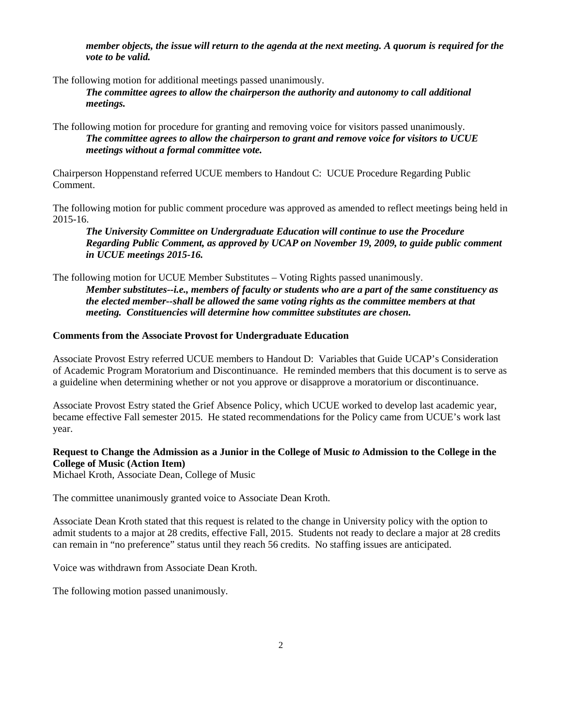*member objects, the issue will return to the agenda at the next meeting. A quorum is required for the vote to be valid.*

The following motion for additional meetings passed unanimously.

*The committee agrees to allow the chairperson the authority and autonomy to call additional meetings.*

The following motion for procedure for granting and removing voice for visitors passed unanimously. *The committee agrees to allow the chairperson to grant and remove voice for visitors to UCUE meetings without a formal committee vote.*

Chairperson Hoppenstand referred UCUE members to Handout C: UCUE Procedure Regarding Public Comment.

The following motion for public comment procedure was approved as amended to reflect meetings being held in 2015-16.

*The University Committee on Undergraduate Education will continue to use the Procedure Regarding Public Comment, as approved by UCAP on November 19, 2009, to guide public comment in UCUE meetings 2015-16.*

The following motion for UCUE Member Substitutes – Voting Rights passed unanimously. *Member substitutes--i.e., members of faculty or students who are a part of the same constituency as the elected member--shall be allowed the same voting rights as the committee members at that meeting. Constituencies will determine how committee substitutes are chosen.*

#### **Comments from the Associate Provost for Undergraduate Education**

Associate Provost Estry referred UCUE members to Handout D: Variables that Guide UCAP's Consideration of Academic Program Moratorium and Discontinuance. He reminded members that this document is to serve as a guideline when determining whether or not you approve or disapprove a moratorium or discontinuance.

Associate Provost Estry stated the Grief Absence Policy, which UCUE worked to develop last academic year, became effective Fall semester 2015. He stated recommendations for the Policy came from UCUE's work last year.

## **Request to Change the Admission as a Junior in the College of Music** *to* **Admission to the College in the College of Music (Action Item)**

Michael Kroth, Associate Dean, College of Music

The committee unanimously granted voice to Associate Dean Kroth.

Associate Dean Kroth stated that this request is related to the change in University policy with the option to admit students to a major at 28 credits, effective Fall, 2015. Students not ready to declare a major at 28 credits can remain in "no preference" status until they reach 56 credits. No staffing issues are anticipated.

Voice was withdrawn from Associate Dean Kroth.

The following motion passed unanimously.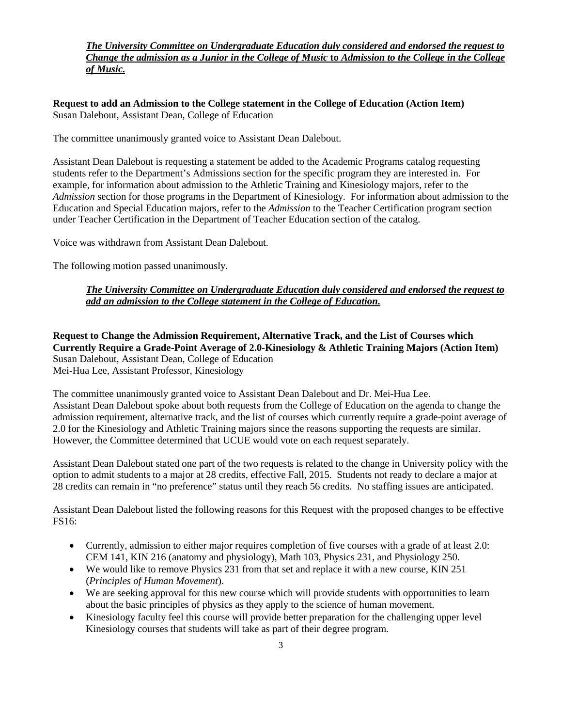## *The University Committee on Undergraduate Education duly considered and endorsed the request to Change the admission as a Junior in the College of Music* **to** *Admission to the College in the College of Music.*

**Request to add an Admission to the College statement in the College of Education (Action Item)** Susan Dalebout, Assistant Dean, College of Education

The committee unanimously granted voice to Assistant Dean Dalebout.

Assistant Dean Dalebout is requesting a statement be added to the Academic Programs catalog requesting students refer to the Department's Admissions section for the specific program they are interested in. For example, for information about admission to the Athletic Training and Kinesiology majors, refer to the *Admission* section for those programs in the Department of Kinesiology. For information about admission to the Education and Special Education majors, refer to the *Admission* to the Teacher Certification program section under Teacher Certification in the Department of Teacher Education section of the catalog.

Voice was withdrawn from Assistant Dean Dalebout.

The following motion passed unanimously.

## *The University Committee on Undergraduate Education duly considered and endorsed the request to add an admission to the College statement in the College of Education.*

**Request to Change the Admission Requirement, Alternative Track, and the List of Courses which Currently Require a Grade-Point Average of 2.0-Kinesiology & Athletic Training Majors (Action Item)** Susan Dalebout, Assistant Dean, College of Education Mei-Hua Lee, Assistant Professor, Kinesiology

The committee unanimously granted voice to Assistant Dean Dalebout and Dr. Mei-Hua Lee. Assistant Dean Dalebout spoke about both requests from the College of Education on the agenda to change the admission requirement, alternative track, and the list of courses which currently require a grade-point average of 2.0 for the Kinesiology and Athletic Training majors since the reasons supporting the requests are similar. However, the Committee determined that UCUE would vote on each request separately.

Assistant Dean Dalebout stated one part of the two requests is related to the change in University policy with the option to admit students to a major at 28 credits, effective Fall, 2015. Students not ready to declare a major at 28 credits can remain in "no preference" status until they reach 56 credits. No staffing issues are anticipated.

Assistant Dean Dalebout listed the following reasons for this Request with the proposed changes to be effective FS16:

- Currently, admission to either major requires completion of five courses with a grade of at least 2.0: CEM 141, KIN 216 (anatomy and physiology), Math 103, Physics 231, and Physiology 250.
- We would like to remove Physics 231 from that set and replace it with a new course, KIN 251 (*Principles of Human Movement*).
- We are seeking approval for this new course which will provide students with opportunities to learn about the basic principles of physics as they apply to the science of human movement.
- Kinesiology faculty feel this course will provide better preparation for the challenging upper level Kinesiology courses that students will take as part of their degree program.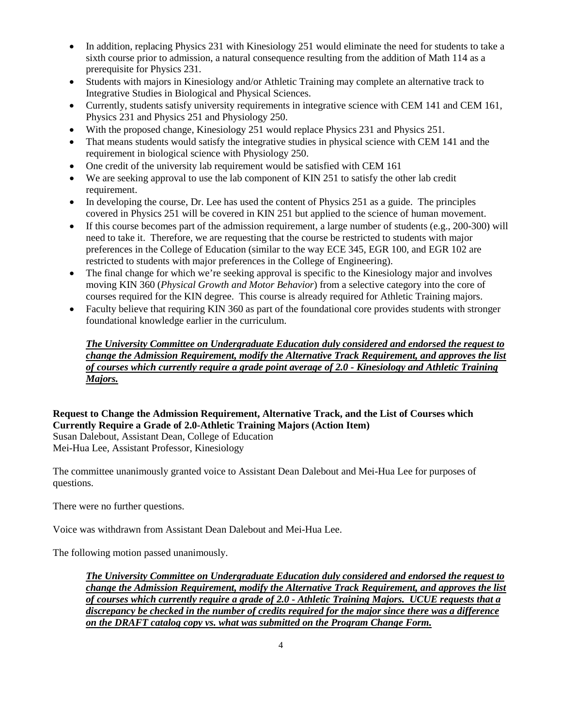- In addition, replacing Physics 231 with Kinesiology 251 would eliminate the need for students to take a sixth course prior to admission, a natural consequence resulting from the addition of Math 114 as a prerequisite for Physics 231.
- Students with majors in Kinesiology and/or Athletic Training may complete an alternative track to Integrative Studies in Biological and Physical Sciences.
- Currently, students satisfy university requirements in integrative science with CEM 141 and CEM 161, Physics 231 and Physics 251 and Physiology 250.
- With the proposed change, Kinesiology 251 would replace Physics 231 and Physics 251.
- That means students would satisfy the integrative studies in physical science with CEM 141 and the requirement in biological science with Physiology 250.
- One credit of the university lab requirement would be satisfied with CEM 161
- We are seeking approval to use the lab component of KIN 251 to satisfy the other lab credit requirement.
- In developing the course, Dr. Lee has used the content of Physics 251 as a guide. The principles covered in Physics 251 will be covered in KIN 251 but applied to the science of human movement.
- If this course becomes part of the admission requirement, a large number of students (e.g., 200-300) will need to take it. Therefore, we are requesting that the course be restricted to students with major preferences in the College of Education (similar to the way ECE 345, EGR 100, and EGR 102 are restricted to students with major preferences in the College of Engineering).
- The final change for which we're seeking approval is specific to the Kinesiology major and involves moving KIN 360 (*Physical Growth and Motor Behavior*) from a selective category into the core of courses required for the KIN degree. This course is already required for Athletic Training majors.
- Faculty believe that requiring KIN 360 as part of the foundational core provides students with stronger foundational knowledge earlier in the curriculum.

# *The University Committee on Undergraduate Education duly considered and endorsed the request to change the Admission Requirement, modify the Alternative Track Requirement, and approves the list of courses which currently require a grade point average of 2.0 - Kinesiology and Athletic Training Majors.*

# **Request to Change the Admission Requirement, Alternative Track, and the List of Courses which Currently Require a Grade of 2.0-Athletic Training Majors (Action Item)**

Susan Dalebout, Assistant Dean, College of Education Mei-Hua Lee, Assistant Professor, Kinesiology

The committee unanimously granted voice to Assistant Dean Dalebout and Mei-Hua Lee for purposes of questions.

There were no further questions.

Voice was withdrawn from Assistant Dean Dalebout and Mei-Hua Lee.

The following motion passed unanimously.

*The University Committee on Undergraduate Education duly considered and endorsed the request to change the Admission Requirement, modify the Alternative Track Requirement, and approves the list of courses which currently require a grade of 2.0 - Athletic Training Majors. UCUE requests that a discrepancy be checked in the number of credits required for the major since there was a difference on the DRAFT catalog copy vs. what was submitted on the Program Change Form.*